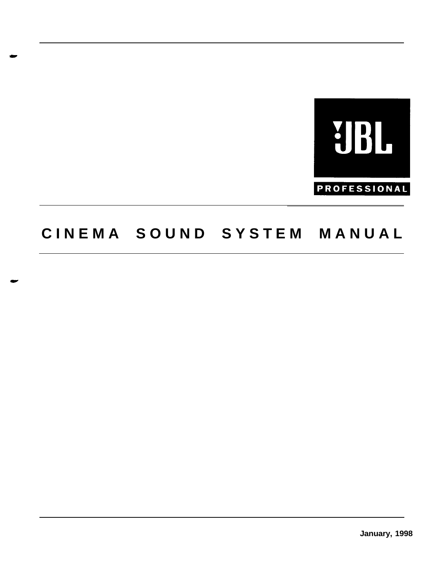

# **CINEMA SOUND SYSTEM MANUA L**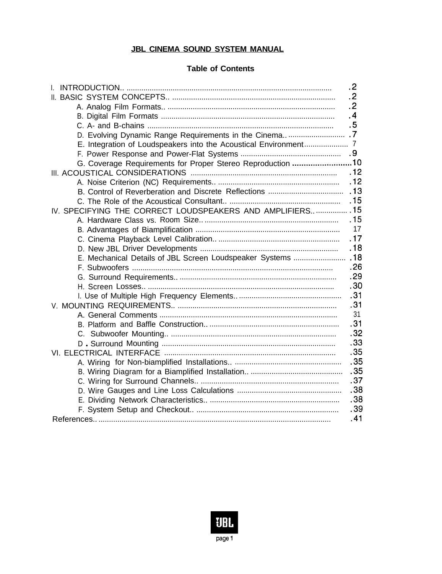#### **JBL CINEMA SOUND SYSTEM MANUAL**

#### **Table of Contents**

|                                                               | $\cdot$ 2 |
|---------------------------------------------------------------|-----------|
|                                                               | $\cdot$   |
|                                                               | $\cdot$   |
|                                                               | .4        |
|                                                               | .5        |
| D. Evolving Dynamic Range Requirements in the Cinema 7        |           |
|                                                               |           |
|                                                               |           |
| G. Coverage Requirements for Proper Stereo Reproduction 10    |           |
|                                                               | .12       |
|                                                               | .12       |
|                                                               | .13       |
|                                                               | .15       |
| IV. SPECIFYING THE CORRECT LOUDSPEAKERS AND AMPLIFIERS  15    |           |
|                                                               | .15       |
|                                                               | 17        |
|                                                               | .17       |
|                                                               | .18       |
| E. Mechanical Details of JBL Screen Loudspeaker Systems  . 18 |           |
|                                                               | .26       |
|                                                               | .29       |
|                                                               | .30       |
|                                                               | .31       |
|                                                               | .31       |
|                                                               | 31        |
|                                                               | .31       |
|                                                               | .32       |
|                                                               | .33       |
|                                                               | .35       |
|                                                               | .35       |
|                                                               | .35       |
|                                                               | .37       |
|                                                               | .38       |
|                                                               | .38       |
|                                                               | .39       |
|                                                               | .41       |

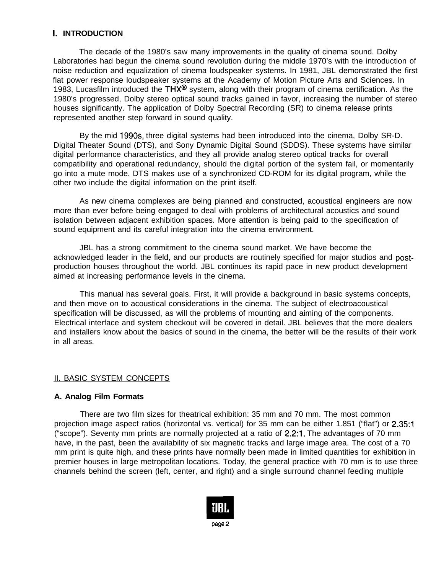# **I. INTRODUCTION**

The decade of the 1980's saw many improvements in the quality of cinema sound. Dolby Laboratories had begun the cinema sound revolution during the middle 1970's with the introduction of noise reduction and equalization of cinema loudspeaker systems. In 1981, JBL demonstrated the first flat power response loudspeaker systems at the Academy of Motion Picture Arts and Sciences. In 1983, Lucasfilm introduced the  $THX^{\textcircled{B}}$  system, along with their program of cinema certification. As the 1980's progressed, Dolby stereo optical sound tracks gained in favor, increasing the number of stereo houses significantly. The application of Dolby Spectral Recording (SR) to cinema release prints represented another step forward in sound quality.

By the mid 199Os, three digital systems had been introduced into the cinema, Dolby SR-D. Digital Theater Sound (DTS), and Sony Dynamic Digital Sound (SDDS). These systems have similar digital performance characteristics, and they all provide analog stereo optical tracks for overall compatibility and operational redundancy, should the digital portion of the system fail, or momentarily go into a mute mode. DTS makes use of a synchronized CD-ROM for its digital program, while the other two include the digital information on the print itself.

As new cinema complexes are being pianned and constructed, acoustical engineers are now more than ever before being engaged to deal with problems of architectural acoustics and sound isolation between adjacent exhibition spaces. More attention is being paid to the specification of sound equipment and its careful integration into the cinema environment.

JBL has a strong commitment to the cinema sound market. We have become the acknowledged leader in the field, and our products are routinely specified for major studios and postproduction houses throughout the world. JBL continues its rapid pace in new product development aimed at increasing performance levels in the cinema.

This manual has several goals. First, it will provide a background in basic systems concepts, and then move on to acoustical considerations in the cinema. The subject of electroacoustical specification will be discussed, as will the problems of mounting and aiming of the components. Electrical interface and system checkout will be covered in detail. JBL believes that the more dealers and installers know about the basics of sound in the cinema, the better will be the results of their work in all areas.

#### II. BASIC SYSTEM CONCEPTS

#### **A. Analog Film Formats**

There are two film sizes for theatrical exhibition: 35 mm and 70 mm. The most common projection image aspect ratios (horizontal vs. vertical) for 35 mm can be either 1.851 ("flat") or 2.35:1 ("scope"). Seventy mm prints are normally projected at a ratio of 2.2:1. The advantages of 70 mm have, in the past, been the availability of six magnetic tracks and large image area. The cost of a 70 mm print is quite high, and these prints have normally been made in limited quantities for exhibition in premier houses in large metropolitan locations. Today, the general practice with 70 mm is to use three channels behind the screen (left, center, and right) and a single surround channel feeding multiple

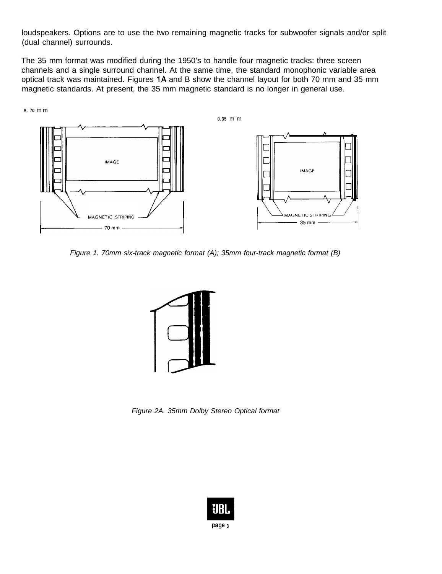loudspeakers. Options are to use the two remaining magnetic tracks for subwoofer signals and/or split (dual channel) surrounds.

The 35 mm format was modified during the 1950's to handle four magnetic tracks: three screen channels and a single surround channel. At the same time, the standard monophonic variable area optical track was maintained. Figures IA and B show the channel layout for both 70 mm and 35 mm magnetic standards. At present, the 35 mm magnetic standard is no longer in general use.





*Figure 1. 70mm six-track magnetic format (A); 35mm four-track magnetic format (B)*



*Figure 2A. 35mm Dolby Stereo Optical format*

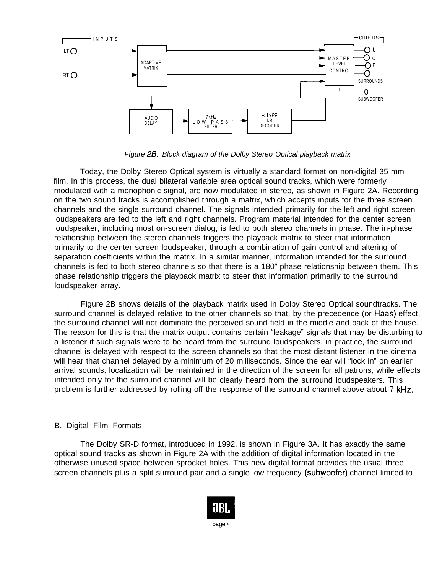

*Figure 28. Block diagram of the Dolby Stereo Optical playback matrix*

Today, the Dolby Stereo Optical system is virtually a standard format on non-digital 35 mm film. In this process, the dual bilateral variable area optical sound tracks, which were formerly modulated with a monophonic signal, are now modulated in stereo, as shown in Figure 2A. Recording on the two sound tracks is accomplished through a matrix, which accepts inputs for the three screen channels and the single surround channel. The signals intended primarily for the left and right screen loudspeakers are fed to the left and right channels. Program material intended for the center screen loudspeaker, including most on-screen dialog, is fed to both stereo channels in phase. The in-phase relationship between the stereo channels triggers the playback matrix to steer that information primarily to the center screen loudspeaker, through a combination of gain control and altering of separation coefficients within the matrix. In a similar manner, information intended for the surround channels is fed to both stereo channels so that there is a 180" phase relationship between them. This phase relationship triggers the playback matrix to steer that information primarily to the surround loudspeaker array.

Figure 2B shows details of the playback matrix used in Dolby Stereo Optical soundtracks. The surround channel is delayed relative to the other channels so that, by the precedence (or Haas) effect, the surround channel will not dominate the perceived sound field in the middle and back of the house. The reason for this is that the matrix output contains certain "leakage" signals that may be disturbing to a listener if such signals were to be heard from the surround loudspeakers. in practice, the surround channel is delayed with respect to the screen channels so that the most distant listener in the cinema will hear that channel delayed by a minimum of 20 milliseconds. Since the ear will "lock in" on earlier arrival sounds, localization will be maintained in the direction of the screen for all patrons, while effects intended only for the surround channel will be clearly heard from the surround loudspeakers. This problem is further addressed by rolling off the response of the surround channel above about 7 kHz.

#### B. Digital Film Formats

The Dolby SR-D format, introduced in 1992, is shown in Figure 3A. It has exactly the same optical sound tracks as shown in Figure 2A with the addition of digital information located in the otherwise unused space between sprocket holes. This new digital format provides the usual three screen channels plus a split surround pair and a single low frequency (subwoofer) channel limited to

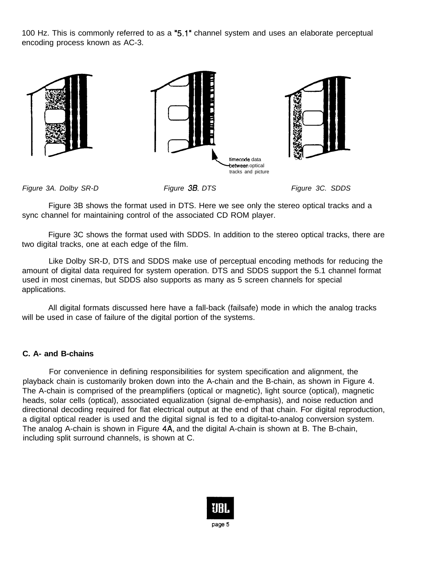100 Hz. This is commonly referred to as a "5.1' channel system and uses an elaborate perceptual encoding process known as AC-3.



*Figure 3A. Dolby SR-D Figure 38. DTS Figure 3C. SDDS*

Figure 3B shows the format used in DTS. Here we see only the stereo optical tracks and a sync channel for maintaining control of the associated CD ROM player.

Figure 3C shows the format used with SDDS. In addition to the stereo optical tracks, there are two digital tracks, one at each edge of the film.

Like Dolby SR-D, DTS and SDDS make use of perceptual encoding methods for reducing the amount of digital data required for system operation. DTS and SDDS support the 5.1 channel format used in most cinemas, but SDDS also supports as many as 5 screen channels for special applications.

All digital formats discussed here have a fall-back (failsafe) mode in which the analog tracks will be used in case of failure of the digital portion of the systems.

## **C. A- and B-chains**

For convenience in defining responsibilities for system specification and alignment, the playback chain is customarily broken down into the A-chain and the B-chain, as shown in Figure 4. The A-chain is comprised of the preamplifiers (optical or magnetic), light source (optical), magnetic heads, solar cells (optical), associated equalization (signal de-emphasis), and noise reduction and directional decoding required for flat electrical output at the end of that chain. For digital reproduction, a digital optical reader is used and the digital signal is fed to a digital-to-analog conversion system. The analog A-chain is shown in Figure 4A, and the digital A-chain is shown at B. The B-chain, including split surround channels, is shown at C.

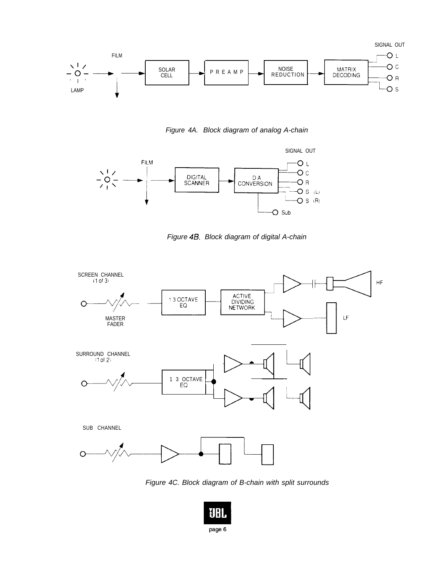

Figure 4A. Block diagram of analog A-chain



Figure 4B. Block diagram of digital A-chain



Figure 4C. Block diagram of B-chain with split surrounds

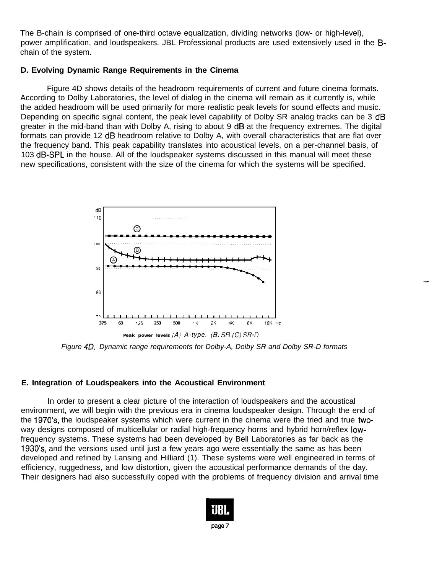The B-chain is comprised of one-third octave equalization, dividing networks (low- or high-level), power amplification, and loudspeakers. JBL Professional products are used extensively used in the Bchain of the system.

#### **D. Evolving Dynamic Range Requirements in the Cinema**

Figure 4D shows details of the headroom requirements of current and future cinema formats. According to Dolby Laboratories, the level of dialog in the cinema will remain as it currently is, while the added headroom will be used primarily for more realistic peak levels for sound effects and music. Depending on specific signal content, the peak level capability of Dolby SR analog tracks can be 3 dB greater in the mid-band than with Dolby A, rising to about 9 dB at the frequency extremes. The digital formats can provide 12 dB headroom relative to Dolby A, with overall characteristics that are flat over the frequency band. This peak capability translates into acoustical levels, on a per-channel basis, of 103 dB-SPL in the house. All of the loudspeaker systems discussed in this manual will meet these new specifications, consistent with the size of the cinema for which the systems will be specified.



*Figure 40. Dynamic range requirements for Dolby-A, Dolby SR and Dolby SR-D formats*

#### **E. Integration of Loudspeakers into the Acoustical Environment**

In order to present a clear picture of the interaction of loudspeakers and the acoustical environment, we will begin with the previous era in cinema loudspeaker design. Through the end of the 1970's, the loudspeaker systems which were current in the cinema were the tried and true twoway designs composed of multicellular or radial high-frequency horns and hybrid horn/reflex lowfrequency systems. These systems had been developed by Bell Laboratories as far back as the 1930's, and the versions used until just a few years ago were essentially the same as has been developed and refined by Lansing and Hilliard (1). These systems were well engineered in terms of efficiency, ruggedness, and low distortion, given the acoustical performance demands of the day. Their designers had also successfully coped with the problems of frequency division and arrival time

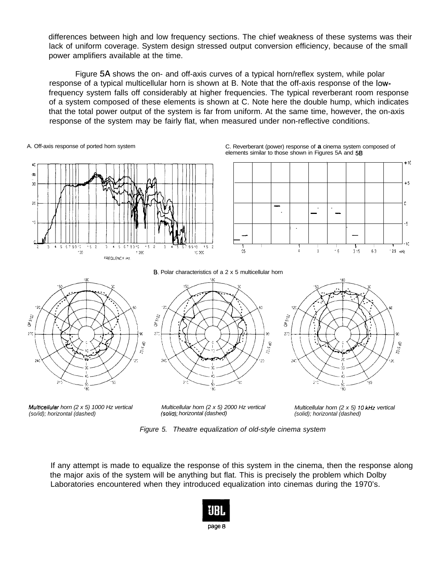differences between high and low frequency sections. The chief weakness of these systems was their lack of uniform coverage. System design stressed output conversion efficiency, because of the small power amplifiers available at the time.

Figure 5A shows the on- and off-axis curves of a typical horn/reflex system, while polar response of a typical multicellular horn is shown at B. Note that the off-axis response of the lowfrequency system falls off considerably at higher frequencies. The typical reverberant room response of a system composed of these elements is shown at C. Note here the double hump, which indicates that the total power output of the system is far from uniform. At the same time, however, the on-axis response of the system may be fairly flat, when measured under non-reflective conditions.



A. Off-axis response of ported horn system C. Reverberant (power) response of **a** cinema system composed of elements similar to those shown in Figures 5A and 58





8. Polar characteristics of a 2 x 5 multicellular horn





*Mulhcellular horn (2 x 5) 1000 Hz vertical Multicellular horn (2 x 5) 2000 Hz vertical (so/id); horizontal (dashed) (soliu); horizontal (dashed)*

*Multicellular horn (2 x 5) 10 kHz vertical (solid); horizontal (dashed)*

*Figure 5. Theatre equalization of old-style cinema system*

If any attempt is made to equalize the response of this system in the cinema, then the response along the major axis of the system will be anything but flat. This is precisely the problem which Dolby Laboratories encountered when they introduced equalization into cinemas during the 1970's.

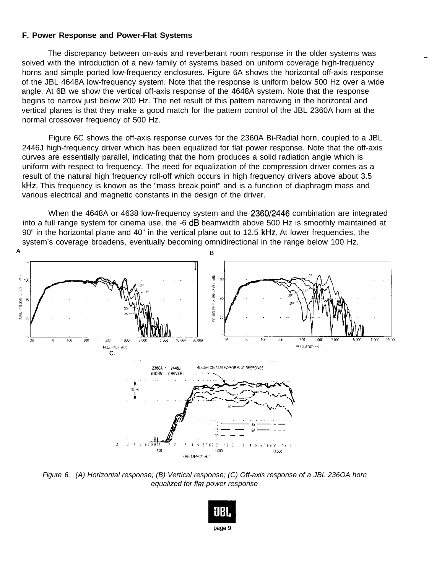#### **F. Power Response and Power-Flat Systems**

The discrepancy between on-axis and reverberant room response in the older systems was solved with the introduction of a new family of systems based on uniform coverage high-frequency horns and simple ported low-frequency enclosures. Figure 6A shows the horizontal off-axis response of the JBL 4648A low-frequency system. Note that the response is uniform below 500 Hz over a wide angle. At 6B we show the vertical off-axis response of the 4648A system. Note that the response begins to narrow just below 200 Hz. The net result of this pattern narrowing in the horizontal and vertical planes is that they make a good match for the pattern control of the JBL 2360A horn at the normal crossover frequency of 500 Hz.

-

Figure 6C shows the off-axis response curves for the 2360A Bi-Radial horn, coupled to a JBL 2446J high-frequency driver which has been equalized for flat power response. Note that the off-axis curves are essentially parallel, indicating that the horn produces a solid radiation angle which is uniform with respect to frequency. The need for equalization of the compression driver comes as a result of the natural high frequency roll-off which occurs in high frequency drivers above about 3.5 kHz. This frequency is known as the "mass break point" and is a function of diaphragm mass and various electrical and magnetic constants in the design of the driver.

When the 4648A or 4638 low-frequency system and the 2360/2446 combination are integrated into a full range system for cinema use, the -6 dB beamwidth above 500 Hz is smoothly maintained at 90" in the horizontal plane and 40" in the vertical plane out to 12.5 kHz. At lower frequencies, the system's coverage broadens, eventually becoming omnidirectional in the range below 100 Hz.



*Figure 6. (A) Horizontal response; (B) Vertical response; (C) Off-axis response of a JBL 236OA horn equalized for flar power response*

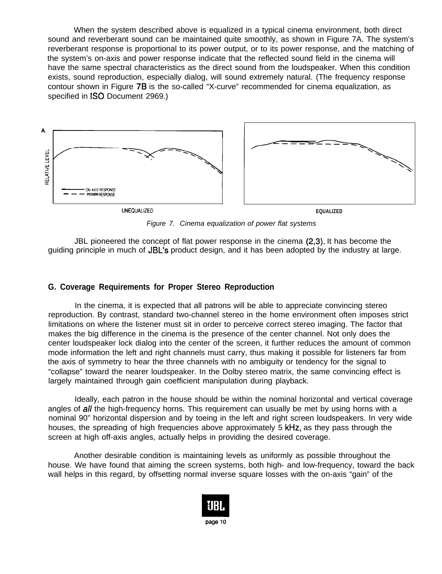When the system described above is equalized in a typical cinema environment, both direct sound and reverberant sound can be maintained quite smoothly, as shown in Figure 7A. The system's reverberant response is proportional to its power output, or to its power response, and the matching of the system's on-axis and power response indicate that the reflected sound field in the cinema will have the same spectral characteristics as the direct sound from the loudspeaker. When this condition exists, sound reproduction, especially dialog, will sound extremely natural. (The frequency response contour shown in Figure 78 is the so-called "X-curve" recommended for cinema equalization, as specified in **ISO** Document 2969.)



*Figure 7. Cinema equalization of power flat systems*

JBL pioneered the concept of flat power response in the cinema (2,3). It has become the guiding principle in much of JBL's product design, and it has been adopted by the industry at large.

#### **G. Coverage Requirements for Proper Stereo Reproduction**

In the cinema, it is expected that all patrons will be able to appreciate convincing stereo reproduction. By contrast, standard two-channel stereo in the home environment often imposes strict limitations on where the listener must sit in order to perceive correct stereo imaging. The factor that makes the big difference in the cinema is the presence of the center channel. Not only does the center loudspeaker lock dialog into the center of the screen, it further reduces the amount of common mode information the left and right channels must carry, thus making it possible for listeners far from the axis of symmetry to hear the three channels with no ambiguity or tendency for the signal to "collapse" toward the nearer loudspeaker. In the Dolby stereo matrix, the same convincing effect is largely maintained through gain coefficient manipulation during playback.

Ideally, each patron in the house should be within the nominal horizontal and vertical coverage angles of all the high-frequency horns. This requirement can usually be met by using horns with a nominal 90" horizontal dispersion and by toeing in the left and right screen loudspeakers. In very wide houses, the spreading of high frequencies above approximately 5 kHz, as they pass through the screen at high off-axis angles, actually helps in providing the desired coverage.

Another desirable condition is maintaining levels as uniformly as possible throughout the house. We have found that aiming the screen systems, both high- and low-frequency, toward the back wall helps in this regard, by offsetting normal inverse square losses with the on-axis "gain" of the

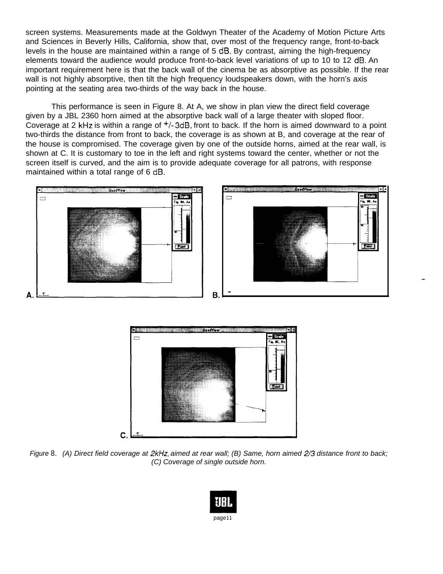screen systems. Measurements made at the Goldwyn Theater of the Academy of Motion Picture Arts and Sciences in Beverly Hills, California, show that, over most of the frequency range, front-to-back levels in the house are maintained within a range of 5 dB. By contrast, aiming the high-frequency elements toward the audience would produce front-to-back level variations of up to 10 to 12 dB. An important requirement here is that the back wall of the cinema be as absorptive as possible. If the rear wall is not highly absorptive, then tilt the high frequency loudspeakers down, with the horn's axis pointing at the seating area two-thirds of the way back in the house.

This performance is seen in Figure 8. At A, we show in plan view the direct field coverage given by a JBL 2360 horn aimed at the absorptive back wall of a large theater with sloped floor. Coverage at 2 kHz is within a range of  $+/-3$ dB, front to back. If the horn is aimed downward to a point two-thirds the distance from front to back, the coverage is as shown at B, and coverage at the rear of the house is compromised. The coverage given by one of the outside horns, aimed at the rear wall, is shown at C. It is customary to toe in the left and right systems toward the center, whether or not the screen itself is curved, and the aim is to provide adequate coverage for all patrons, with response maintained within a total range of 6 dB.



-



*Figure* 8. *(A) Direct field coverage at 2kHz, aimed at rear wall; (B) Same, horn aimed 2/3 distance front to back; (C) Coverage of single outside horn.*

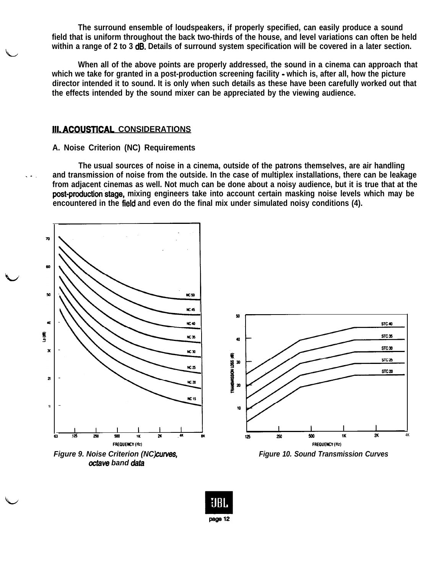**The surround ensemble of loudspeakers, if properly specified, can easily produce a sound field that is uniform throughout the back two-thirds of the house, and level variations can often be held within a range of 2 to 3 dB. Details of surround system specification will be covered in a later section.**

**When all of the above points are properly addressed, the sound in a cinema can approach that which we take for granted in a post-production screening facility - which is, after all, how the picture director intended it to sound. It is only when such details as these have been carefully worked out that the effects intended by the sound mixer can be appreciated by the viewing audience.**

#### **III. ACOUSTlCAL CONSIDERATIONS**

L

#### **A. Noise Criterion (NC) Requirements**

**The usual sources of noise in a cinema, outside of the patrons themselves, are air handling .-. and transmission of noise from the outside. In the case of multiplex installations, there can be leakage from adjacent cinemas as well. Not much can be done about a noisy audience, but it is true that at the post-production.stage, mixing engineers take into account certain masking noise levels which may be encountered in the field and even do the final mix under simulated noisy conditions (4).**

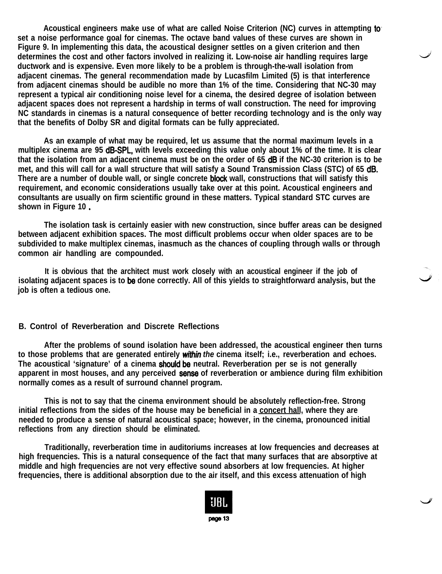**Acoustical engineers make use of what are called Noise Criterion (NC) curves in attempting to. set a noise performance goal for cinemas. The octave band values of these curves are shown in Figure 9. In implementing this data, the acoustical designer settles on a given criterion and then determines the cost and other factors involved in realizing it. Low-noise air handling requires large ductwork and is expensive. Even more likely to be a problem is through-the-wall isolation from adjacent cinemas. The general recommendation made by Lucasfilm Limited (5) is that interference from adjacent cinemas should be audible no more than 1% of the time. Considering that NC-30 may represent a typical air conditioning noise level for a cinema, the desired degree of isolation between adjacent spaces does not represent a hardship in terms of wall construction. The need for improving NC standards in cinemas is a natural consequence of better recording technology and is the only way that the benefits of Dolby SR and digital formats can be fully appreciated.**

**As an example of what may be required, let us assume that the normal maximum levels in a multiplex cinema are 95 dB-SPL, with levels exceeding this value only about 1% of the time. It is clear that the isolation from an adjacent cinema must be on the order of 65 dB if the NC-30 criterion is to be met, and this will call for a wall structure that will satisfy a Sound Transmission Class (STC) of 65 dB. There are a number of double wall, or single concrete block wall, constructions that will satisfy this requirement, and economic considerations usually take over at this point. Acoustical engineers and consultants are usually on firm scientific ground in these matters. Typical standard STC curves are shown in Figure 10** .

**The isolation task is certainly easier with new construction, since buffer areas can be designed between adjacent exhibition spaces. The most difficult problems occur when older spaces are to be subdivided to make multiplex cinemas, inasmuch as the chances of coupling through walls or through common air handling are compounded.**

**It is obvious that the architect must work closely with an acoustical engineer if the job of isolating adjacent spaces is to be done correctly. All of this yields to straightforward analysis, but the job is often a tedious one.**

#### **B. Control of Reverberation and Discrete Reflections**

**After the problems of sound isolation have been addressed, the acoustical engineer then turns to those problems that are generated entirely** *within the* **cinema itself; i.e., reverberation and echoes.** The acoustical 'signature' of a cinema should be neutral. Reverberation per se is not generally **apparent in most houses, and any perceived sensa of reverberation or ambience during film exhibition normally comes as a result of surround channel program.**

**This is not to say that the cinema environment should be absolutely reflection-free. Strong initial reflections from the sides of the house may be beneficial in a concert hall, where they are needed to produce a sense of natural acoustical space; however, in the cinema, pronounced initial reflections from any direction should be eliminated.**

**Traditionally, reverberation time in auditoriums increases at low frequencies and decreases at high frequencies. This is a natural consequence of the fact that many surfaces that are absorptive at middle and high frequencies are not very effective sound absorbers at low frequencies. At higher frequencies, there is additional absorption due to the air itself, and this excess attenuation of high**

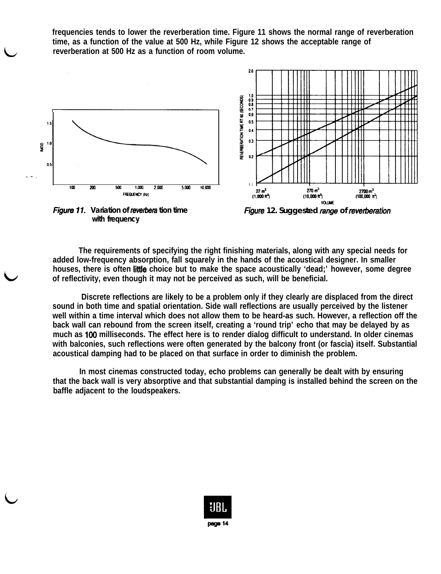**frequencies tends to lower the reverberation time. Figure 11 shows the normal range of reverberation time, as a function of the value at 500 Hz, while Figure 12 shows the acceptable range of reverberation at 500 Hz as a function of room volume.**



*Figure* **11.** *Variation of reverbera tion time with frequency*

*Figure 12. Suggested Em of revetiration*

**The requirements of specifying the right finishing materials, along with any special needs for added low-frequency absorption, fall squarely in the hands of the acoustical designer. In smaller houses, there is often little choice but to make the space acoustically 'dead;' however, some degree of reflectivity, even though it may not be perceived as such, will be beneficial.**

**Discrete reflections are likely to be a problem only if they clearly are displaced from the direct sound in both time and spatial orientation. Side wall reflections are usually perceived by the listener well within a time interval which does not allow them to be heard-as such. However, a reflection off the back wall can rebound from the screen itself, creating a 'round trip' echo that may be delayed by as much as 100 milliseconds. The effect here is to render dialog difficult to understand. In older cinemas with balconies, such reflections were often generated by the balcony front (or fascia) itself. Substantial acoustical damping had to be placed on that surface in order to diminish the problem.**

**In most cinemas constructed today, echo problems can generally be dealt with by ensuring that the back wall is very absorptive and that substantial damping is installed behind the screen on the baffle adjacent to the loudspeakers.**

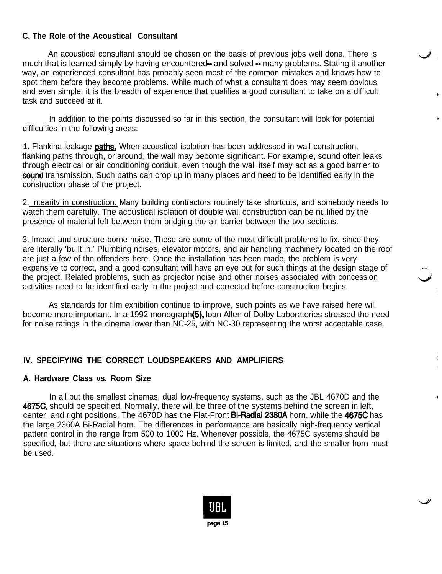## **C. The Role of the Acoustical Consultant**

An acoustical consultant should be chosen on the basis of previous jobs well done. There is much that is learned simply by having encountered— and solved — many problems. Stating it another way, an experienced consultant has probably seen most of the common mistakes and knows how to spot them before they become problems. While much of what a consultant does may seem obvious, and even simple, it is the breadth of experience that qualifies a good consultant to take on a difficult task and succeed at it.

In addition to the points discussed so far in this section, the consultant will look for potential difficulties in the following areas:

2.

Ť

1. Flankina leakage **paths.** When acoustical isolation has been addressed in wall construction, flanking paths through, or around, the wall may become significant. For example, sound often leaks through electrical or air conditioning conduit, even though the wall itself may act as a good barrier to sound transmission. Such paths can crop up in many places and need to be identified early in the construction phase of the project.

2. Intearity in construction. Many building contractors routinely take shortcuts, and somebody needs to watch them carefully. The acoustical isolation of double wall construction can be nullified by the presence of material left between them bridging the air barrier between the two sections.

3. lmoact and structure-borne noise. These are some of the most difficult problems to fix, since they are literally 'built in.' Plumbing noises, elevator motors, and air handling machinery located on the roof are just a few of the offenders here. Once the installation has been made, the problem is very expensive to correct, and a good consultant will have an eye out for such things at the design stage of the project. Related problems, such as projector noise and other noises associated with concession activities need to be identified early in the project and corrected before construction begins.

As standards for film exhibition continue to improve, such points as we have raised here will become more important. In a 1992 monograph(5), loan Allen of Dolby Laboratories stressed the need for noise ratings in the cinema lower than NC-25, with NC-30 representing the worst acceptable case.

## **IV. SPECIFYING THE CORRECT LOUDSPEAKERS AND AMPLIFIERS**

#### **A. Hardware Class vs. Room Size**

In all but the smallest cinemas, dual low-frequency systems, such as the JBL 4670D and the 4675C, should be specified. Normally, there will be three of the systems behind the screen in left, center, and right positions. The 4670D has the Flat-Front **Bi-Radial 2380A** horn, while the 4675C has the large 2360A Bi-Radial horn. The differences in performance are basically high-frequency vertical pattern control in the range from 500 to 1000 Hz. Whenever possible, the 4675C systems should be specified, but there are situations where space behind the screen is limited, and the smaller horn must be used.

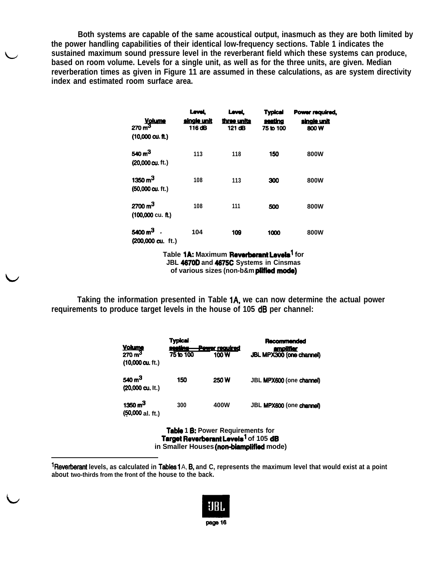**Both systems are capable of the same acoustical output, inasmuch as they are both limited by the power handling capabilities of their identical low-frequency sections. Table 1 indicates the sustained maximum sound pressure level in the reverberant field which these systems can produce, based on room volume. Levels for a single unit, as well as for the three units, are given. Median reverberation times as given in Figure 11 are assumed in these calculations, as are system directivity index and estimated room surface area.**

| <b>Volume</b><br>$270 \text{ m}^3$<br>$(10,000 \text{ cu. ft.})$ | Level.<br>single unit<br>116 dB | Level.<br>three units<br>121 dB | <b>Typical</b><br>seating<br>75 to 100 | Power required,<br><u>sinale unit</u><br>800W |
|------------------------------------------------------------------|---------------------------------|---------------------------------|----------------------------------------|-----------------------------------------------|
| 540 $m3$<br>(20,000 cu. ft.)                                     | 113                             | 118                             | 150                                    | <b>800W</b>                                   |
| 1350 $m3$<br>(50,000 cu. ft.)                                    | 108                             | 113                             | 300                                    | <b>800W</b>                                   |
| $2700 \text{ m}^3$<br>$(100,000 \text{ cu. ft.})$                | 108                             | 111                             | 500                                    | <b>800W</b>                                   |
| 5400 m <sup>3</sup><br>$(200,000 \text{ cu. ft.})$               | 104                             | 109                             | 1000                                   | <b>800W</b>                                   |

Table 1A: Maximum Reverberant Levels<sup>1</sup> for **JBL 4670D and 4675C Systems in Cinsmas of various sizes (non-b&m plifiedmode)**

**Taking the information presented in Table lA, we can now determine the actual power requirements to produce target levels in the house of 105 dB per channel:**

|                                                                  |                                         |                               | nformation presented in Table 1A, we can now determine<br>oduce target levels in the house of 105 dB per channel: |
|------------------------------------------------------------------|-----------------------------------------|-------------------------------|-------------------------------------------------------------------------------------------------------------------|
| <b>Volume</b><br>$270 \text{ m}^3$<br>$(10,000 \text{ cu. ft.})$ | <b>Typical</b><br>seating-<br>75 to 100 | <b>Pewer required</b><br>100W | Recommended<br><u>amplifier</u><br>JBL MPX300 (one channel)                                                       |
| 540 $m3$<br>$(20,000 \text{ cu. It.})$                           | 150                                     | 250W                          | JBL MPX600 (one channel)                                                                                          |
| 1350 $m3$<br>$(50,000$ al. ft.)                                  | 300                                     | 400W                          | JBL MPX600 (one channel)                                                                                          |

**Table 1 B: Power Requirements for Target Reverberant Levels<sup>1</sup> of 105 dB** in Smaller Houses (non-biamplified mode)

**lReverberant levels, as calculated in Tables** 1 A, **6, and C, represents the maximum level that would exist at a point about two-thirds from the front of the house to the back.**

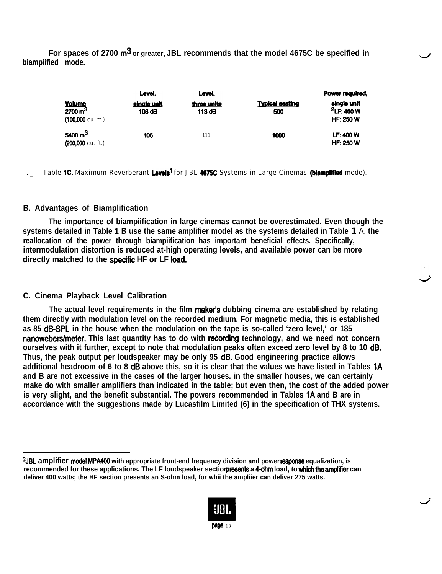**For spaces of 2700 m3 or greater, JBL recommends that the model 4675C be specified in biampiified mode.**

|                                                                         | Level.                | Level,                |                               | Power required,                                  |
|-------------------------------------------------------------------------|-----------------------|-----------------------|-------------------------------|--------------------------------------------------|
| $\frac{\text{Volume}}{2700 \text{ m}^3}$<br>$(100,000 \text{ cu. ft.})$ | single unit<br>108 dB | three units<br>113 dB | <b>Typical seating</b><br>500 | single unit<br>$2$ LF: 400 W<br><b>HF: 250 W</b> |
| 5400 $m3$<br>$(200,000 \text{ cu. ft.})$                                | 106                   | 111                   | 1000                          | <b>LF: 400 W</b><br><b>HF: 250 W</b>             |

d

Table **1C.** Maximum Reverberant Levels<sup>1</sup> for JBL 4675C Systems in Large Cinemas (biamplified mode).

#### **B. Advantages of Biamplification**

**The importance of biampiification in large cinemas cannot be overestimated. Even though the systems detailed in Table 1 B use the same amplifier model as the systems detailed in Table 1** A, **the reallocation of the power through biampiification has important beneficial effects. Specifically, intermodulation distortion is reduced at-high operating levels, and available power can be more directly matched to the specific HF or LF load.**

## **C. Cinema Playback Level Calibration**

The actual level requirements in the film maker's dubbing cinema are established by relating **them directly with modulation level on the recorded medium. For magnetic media, this is established as 85 dB-SPL in the house when the modulation on the tape is so-called 'zero level,' or 185 nanowebers/meter. This last quantity has to do with Mording technology, and we need not concern ourselves with it further, except to note that modulation peaks often exceed zero level by 8 to 10 dB. Thus, the peak output per loudspeaker may be only 95 dB. Good engineering practice allows additional headroom of 6 to 8 dB above this, so it is clear that the values we have listed in Tables 1A and B are not excessive in the cases of the larger houses. in the smaller houses, we can certainly make do with smaller amplifiers than indicated in the table; but even then, the cost of the added power is very slight, and the benefit substantial. The powers recommended in Tables 1A and B are in accordance with the suggestions made by Lucasfilm Limited (6) in the specification of THX systems.**

**<sup>2</sup>JBL amplifier model MPA400 with appropriate front-end frequency division and power msponse equalization, is recommended for these applications. The LF loudspeaker section presents a 4-ohm load, to which the amplifier can deliver 400 watts; the HF section presents an S-ohm load, for whii the ampliier can deliver 275 watts.**

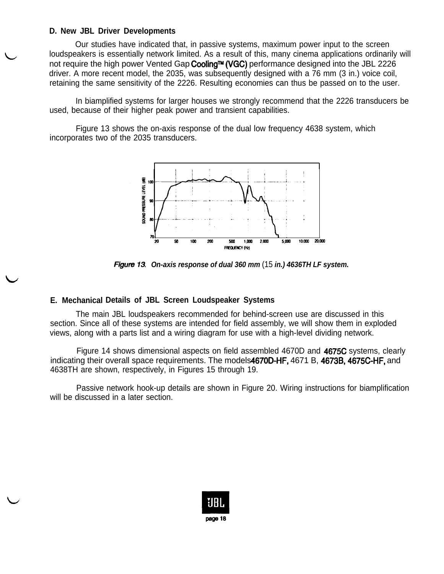#### **D. New JBL Driver Developments**

Our studies have indicated that, in passive systems, maximum power input to the screen loudspeakers is essentially network limited. As a result of this, many cinema applications ordinarily will not require the high power Vented Gap Cooling™ (VGC) performance designed into the JBL 2226 driver. A more recent model, the 2035, was subsequently designed with a 76 mm (3 in.) voice coil, retaining the same sensitivity of the 2226. Resulting economies can thus be passed on to the user.

In biamplified systems for larger houses we strongly recommend that the 2226 transducers be used, because of their higher peak power and transient capabilities.

Figure 13 shows the on-axis response of the dual low frequency 4638 system, which incorporates two of the 2035 transducers.



*On-axis response of dual 360 mm* (15 *in.) 4636TH LF system.*

#### **E. Mechanical Details of JBL Screen Loudspeaker Systems**

The main JBL loudspeakers recommended for behind-screen use are discussed in this section. Since all of these systems are intended for field assembly, we will show them in exploded views, along with a parts list and a wiring diagram for use with a high-level dividing network.

Figure 14 shows dimensional aspects on field assembled 4670D and 4675C systems, clearly indicating their overall space requirements. The models4670D-HF, 4671 B, 4673B, 4675C-HF, and 4638TH are shown, respectively, in Figures 15 through 19.

Passive network hook-up details are shown in Figure 20. Wiring instructions for biamplification will be discussed in a later section.

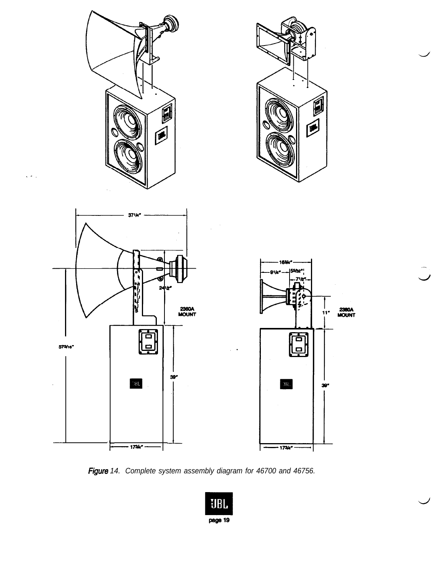

Figure 14. Complete system assembly diagram for 46700 and 46756.

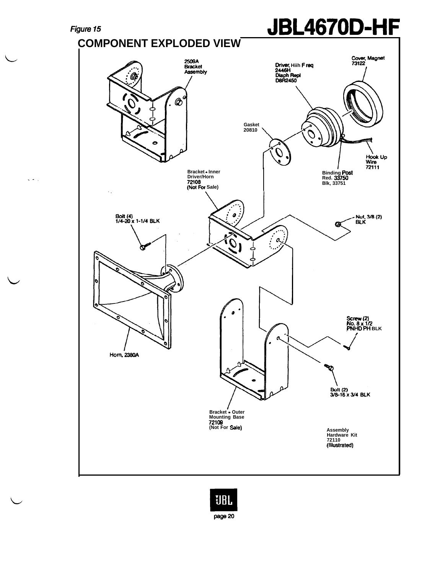$\zeta \neq 0$ 

# Figure <sup>15</sup> **JBL4670D-HF**

**COMPONENT EXPLODED VIEW** Cover, Magnet<br>73122 2509A<br>Bracket<br>Assembly Driver, **Hiih F req 2446t-t** Q  $\circledcirc$ **Gasket 20810**  $\mathcal{O}$ Hook Up<br>Wire<br>72111 **Bracket - Inner Driver/Horn Binding Post Red. 33750 32108**<br>**(Not For Sale) Blk, 33751**  $\mathcal{L}_{\mathcal{A}}$ Bolt (4)<br>1/4-20 x 1-1/4 BLK O - Nut, 3/8 (2)<br>BLK **G** ¢,  $\mathcal O$ **Screw (2)<br>No. 8 x 1/2<br><b>PNHD PH** BLK<br>/ Horn, 2380A Bolt (2)<br>3/8-16 x 3/4 BLK **Bracket - Outer Mounting Base 72109 (Not For Sale) Assembly Hardware Kit 72110 (IlkJstrated)**

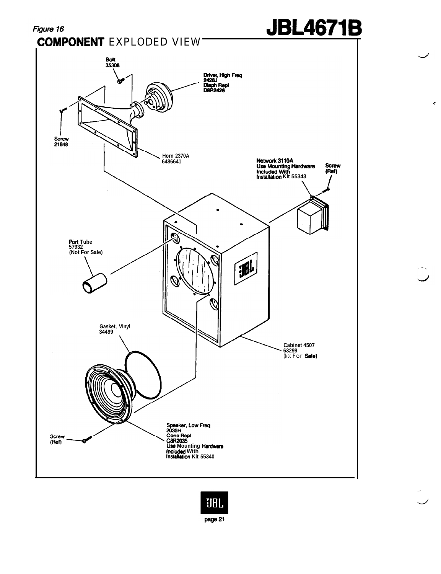

# JBL4671B

c

- J

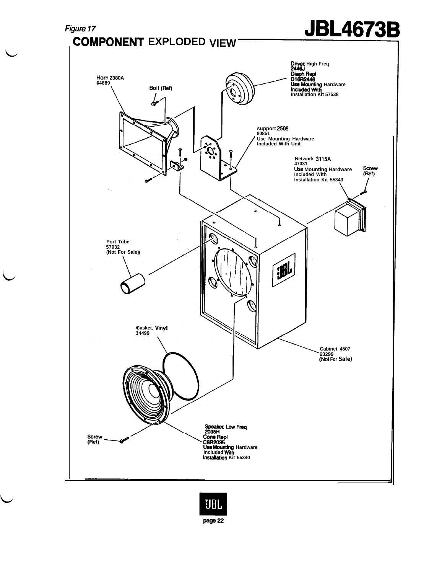

 $\zeta$ 

 $\overline{\phantom{0}}$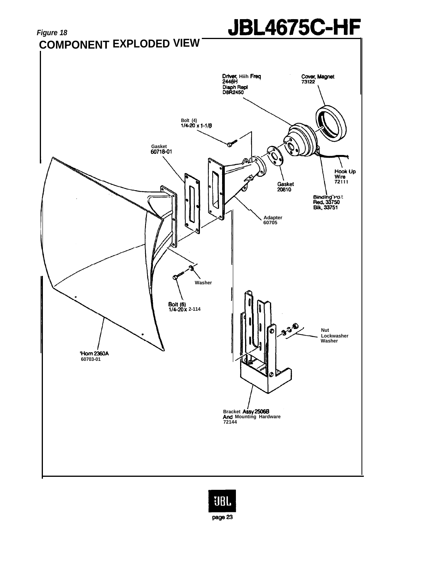

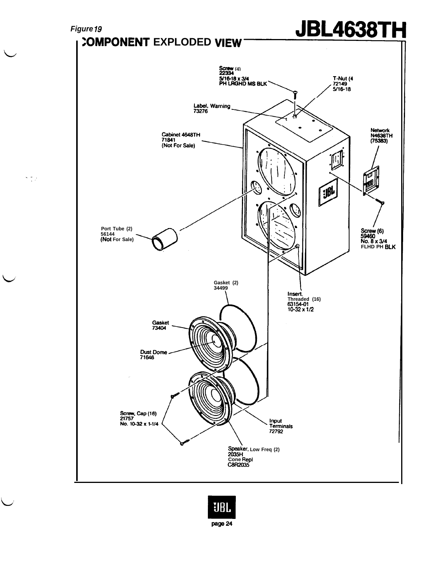

 $\frac{1}{2}$  ,  $\frac{1}{2}$  ,  $\frac{1}{2}$ 

 $\overline{\phantom{0}}$ 

 $\overline{\phantom{a}}$ 

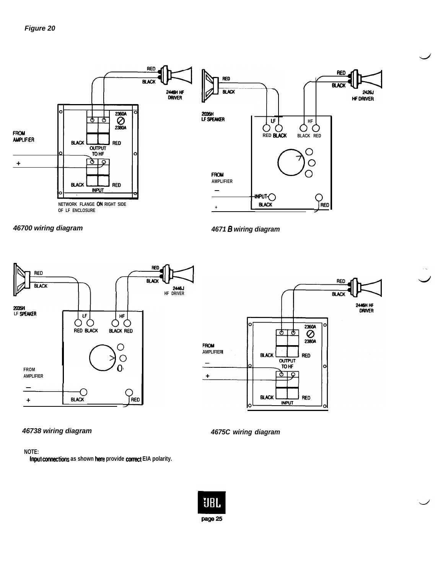





*46738 wiring diagram 4675C wiring diagram*

**NOTE:**

**Input comctions as shown here provide coned EIA polarity.**

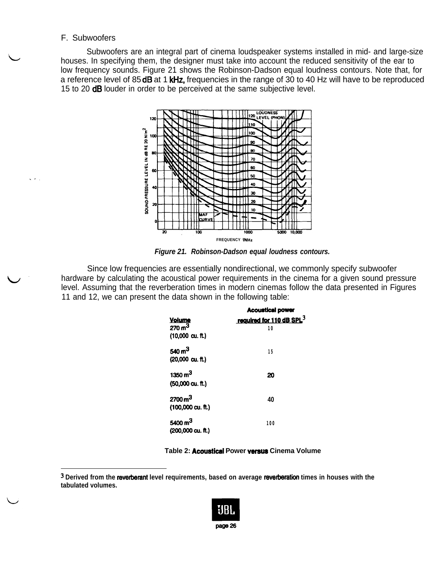#### F. Subwoofers

 $\setminus$ 

.-.

Subwoofers are an integral part of cinema loudspeaker systems installed in mid- and large-size houses. In specifying them, the designer must take into account the reduced sensitivity of the ear to low frequency sounds. Figure 21 shows the Robinson-Dadson equal loudness contours. Note that, for a reference level of 85 dB at 1 kHz, frequencies in the range of 30 to 40 Hz will have to be reproduced 15 to 20 **dB** louder in order to be perceived at the same subjective level.



*Figure 21. Robinson-Dadson equal loudness contours.*

Since low frequencies are essentially nondirectional, we commonly specify subwoofer hardware by calculating the acoustical power requirements in the cinema for a given sound pressure level. Assuming that the reverberation times in modern cinemas follow the data presented in Figures<br>
11 and 12, we can present the data shown in the following table:<br> **Acoustical power**<br> **Acoustical power**<br> **Acoustical po** 11 and 12, we can present the data shown in the following table:

|                            | <b>Acoustical power</b> |
|----------------------------|-------------------------|
| <b>Volume</b>              | required for 110 dB SPL |
| 270 $m3$                   | 10                      |
| $(10,000 \text{ cu. ft.})$ |                         |
| 540 $m3$                   | 15                      |
| $(20,000 \text{ cu. ft.})$ |                         |
| 1350 $m3$                  | 20                      |
| $(50,000 \text{ cu. ft.})$ |                         |
| 2700 $m3$                  | 40                      |
| (100,000 cu. ft.)          |                         |
| 5400 m <sup>3</sup>        | 100                     |
| (200,000 cu. ft.)          |                         |

**Table 2: Acouetical Power vereue Cinema Volume**

<sup>&</sup>lt;sup>3</sup> Derived from the reverberant level requirements, based on average reverberation times in houses with the **tabulated volumes.**

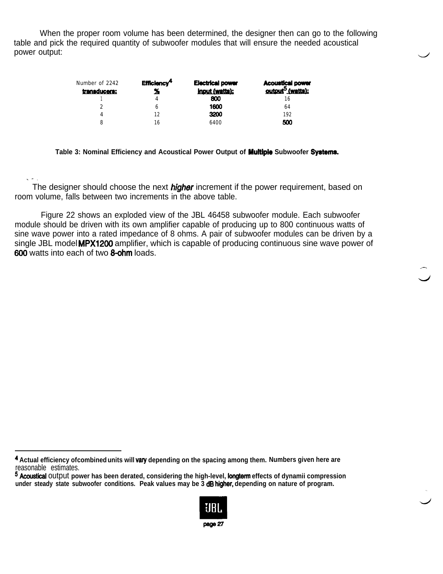When the proper room volume has been determined, the designer then can go to the following table and pick the required quantity of subwoofer modules that will ensure the needed acoustical<br>power output:

| Number of 2242<br>transducers: | Efficiency <sup>4</sup> | <b>Electrical power</b><br><b>Input (watts);</b> | <b>Acoustical power</b><br>output <sup>5</sup> (watts): |
|--------------------------------|-------------------------|--------------------------------------------------|---------------------------------------------------------|
|                                |                         | 800                                              | 16                                                      |
|                                | ь                       | 1600                                             | 64                                                      |
| 4                              | 12                      | 3200                                             | 192                                                     |
| 8                              | 16                      | 6400                                             | 500                                                     |

**Table 3: Nominal Efficiency and Acoustical Power Output of Multiple Subwoofer Systems**

.-. The designer should choose the next *higher* increment if the power requirement, based on room volume, falls between two increments in the above table.

Figure 22 shows an exploded view of the JBL 46458 subwoofer module. Each subwoofer module should be driven with its own amplifier capable of producing up to 800 continuous watts of sine wave power into a rated impedance of 8 ohms. A pair of subwoofer modules can be driven by a single JBL model MPX1200 amplifier, which is capable of producing continuous sine wave power of 606 watts into each of two 8-ohm loads.

 d

<sup>5</sup> Acoustical output **power has been derated, considering the high-level, longterm effects of dynamii compression under steady state subwoofer conditions. Peak values may be 3 dB higher, depending on nature of program.**



**<sup>4</sup> Actual efficiency of combined units will vary depending on the spacing among them. Numbers given here are** reasonable estimates.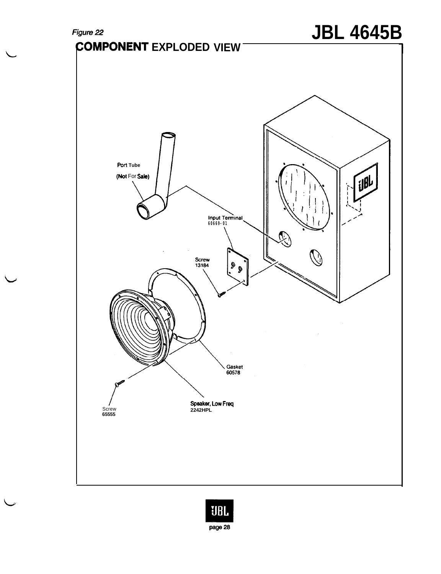

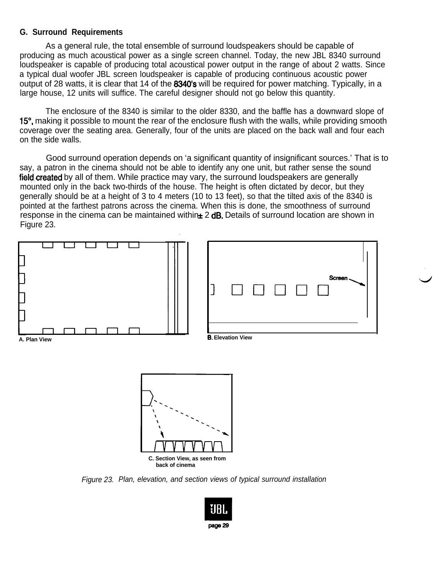#### **G. Surround Requirements**

As a general rule, the total ensemble of surround loudspeakers should be capable of producing as much acoustical power as a single screen channel. Today, the new JBL 8340 surround loudspeaker is capable of producing total acoustical power output in the range of about 2 watts. Since a typical dual woofer JBL screen loudspeaker is capable of producing continuous acoustic power output of 28 watts, it is clear that 14 of the 8340's will be required for power matching. Typically, in a large house, 12 units will suffice. The careful designer should not go below this quantity.

The enclosure of the 8340 is similar to the older 8330, and the baffle has a downward slope of 15", making it possible to mount the rear of the enclosure flush with the walls, while providing smooth coverage over the seating area. Generally, four of the units are placed on the back wall and four each on the side walls.

Good surround operation depends on 'a significant quantity of insignificant sources.' That is to say, a patron in the cinema should not be able to identify any one unit, but rather sense the sound field created by all of them. While practice may vary, the surround loudspeakers are generally mounted only in the back two-thirds of the house. The height is often dictated by decor, but they generally should be at a height of 3 to 4 meters (10 to 13 feet), so that the tilted axis of the 8340 is pointed at the farthest patrons across the cinema. When this is done, the smoothness of surround response in the cinema can be maintained within $\pm 2$  dB. Details of surround location are shown in Figure 23.



*Figure 23. Plan, elevation, and section views of typical surround installation*

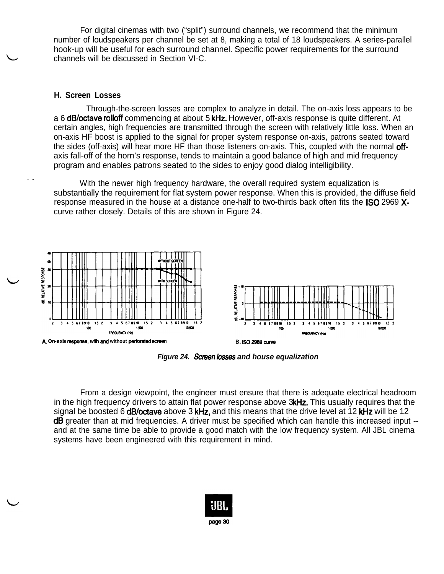For digital cinemas with two ("split") surround channels, we recommend that the minimum number of loudspeakers per channel be set at 8, making a total of 18 loudspeakers. A series-parallel hook-up will be useful for each surround channel. Specific power requirements for the surround channels will be discussed in Section VI-C.

#### **H. Screen Losses**

Through-the-screen losses are complex to analyze in detail. The on-axis loss appears to be a 6 dB/octave rolloff commencing at about 5 kHz. However, off-axis response is quite different. At certain angles, high frequencies are transmitted through the screen with relatively little loss. When an on-axis HF boost is applied to the signal for proper system response on-axis, patrons seated toward the sides (off-axis) will hear more HF than those listeners on-axis. This, coupled with the normal **off**axis fall-off of the horn's response, tends to maintain a good balance of high and mid frequency program and enables patrons seated to the sides to enjoy good dialog intelligibility.

With the newer high frequency hardware, the overall required system equalization is substantially the requirement for flat system power response. When this is provided, the diffuse field response measured in the house at a distance one-half to two-thirds back often fits the ISO 2969 Xcurve rather closely. Details of this are shown in Figure 24.



*Figure 24. Screen Asses and house equalization*

From a design viewpoint, the engineer must ensure that there is adequate electrical headroom in the high frequency drivers to attain flat power response above 3kHz. This usually requires that the signal be boosted 6 **dB/octave** above 3 kHz, and this means that the drive level at 12 kHz will be 12 dB greater than at mid frequencies. A driver must be specified which can handle this increased input -and at the same time be able to provide a good match with the low frequency system. All JBL cinema systems have been engineered with this requirement in mind.

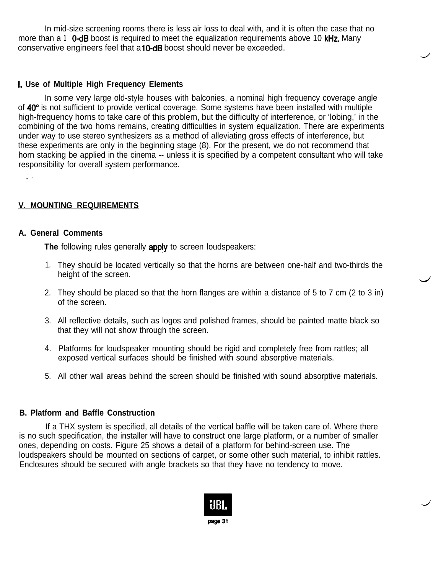In mid-size screening rooms there is less air loss to deal with, and it is often the case that no more than a **1** 0-dB boost is required to meet the equalization requirements above 10 kHz. Many conservative engineers feel that a **10-dB** boost should never be exceeded.

#### **I. Use of Multiple High Frequency Elements**

In some very large old-style houses with balconies, a nominal high frequency coverage angle of 40" is not sufficient to provide vertical coverage. Some systems have been installed with multiple high-frequency horns to take care of this problem, but the difficulty of interference, or 'lobing,' in the combining of the two horns remains, creating difficulties in system equalization. There are experiments under way to use stereo synthesizers as a method of alleviating gross effects of interference, but these experiments are only in the beginning stage (8). For the present, we do not recommend that horn stacking be applied in the cinema -- unless it is specified by a competent consultant who will take responsibility for overall system performance.

.-.

## **V. MOUNTING REQUIREMENTS**

#### **A. General Comments**

**The following rules generally apply to screen loudspeakers:** 

- 1. They should be located vertically so that the horns are between one-half and two-thirds the height of the screen.
- 2. They should be placed so that the horn flanges are within a distance of 5 to 7 cm (2 to 3 in) of the screen.
- 3. All reflective details, such as logos and polished frames, should be painted matte black so that they will not show through the screen.
- 4. Platforms for loudspeaker mounting should be rigid and completely free from rattles; all exposed vertical surfaces should be finished with sound absorptive materials.
- 5. All other wall areas behind the screen should be finished with sound absorptive materials.

#### **B. Platform and Baffle Construction**

If a THX system is specified, all details of the vertical baffle will be taken care of. Where there is no such specification, the installer will have to construct one large platform, or a number of smaller ones, depending on costs. Figure 25 shows a detail of a platform for behind-screen use. The loudspeakers should be mounted on sections of carpet, or some other such material, to inhibit rattles. Enclosures should be secured with angle brackets so that they have no tendency to move.

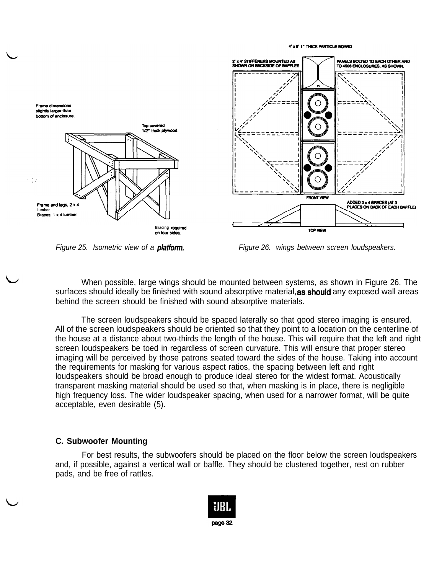

*Figure 25. Isometric view of a platform. Figure 26. wings between screen loudspeakers.* 

4' x 8' 1" THICK PARTICLE BOARD

When possible, large wings should be mounted between systems, as shown in Figure 26. The surfaces should ideally be finished with sound absorptive material, as should any exposed wall areas behind the screen should be finished with sound absorptive materials.

The screen loudspeakers should be spaced laterally so that good stereo imaging is ensured. All of the screen loudspeakers should be oriented so that they point to a location on the centerline of the house at a distance about two-thirds the length of the house. This will require that the left and right screen loudspeakers be toed in regardless of screen curvature. This will ensure that proper stereo imaging will be perceived by those patrons seated toward the sides of the house. Taking into account the requirements for masking for various aspect ratios, the spacing between left and right loudspeakers should be broad enough to produce ideal stereo for the widest format. Acoustically transparent masking material should be used so that, when masking is in place, there is negligible high frequency loss. The wider loudspeaker spacing, when used for a narrower format, will be quite acceptable, even desirable (5).

#### **C. Subwoofer Mounting**

For best results, the subwoofers should be placed on the floor below the screen loudspeakers and, if possible, against a vertical wall or baffle. They should be clustered together, rest on rubber pads, and be free of rattles.

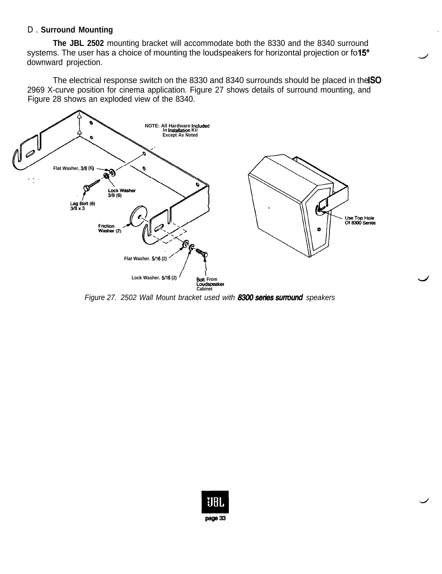#### D . **Surround Mounting**

**The JBL 2502** mounting bracket will accommodate both the 8330 and the 8340 surround systems. The user has a choice of mounting the loudspeakers for horizontal projection or fo15° downward projection.

The electrical response switch on the 8330 and 8340 surrounds should be placed in the ISO 2969 X-curve position for cinema application. Figure 27 shows details of surround mounting, and Figure 28 shows an exploded view of the 8340.



*Figure 27. 2502 Wall Mount bracket used with 8300 series surround speakers* 

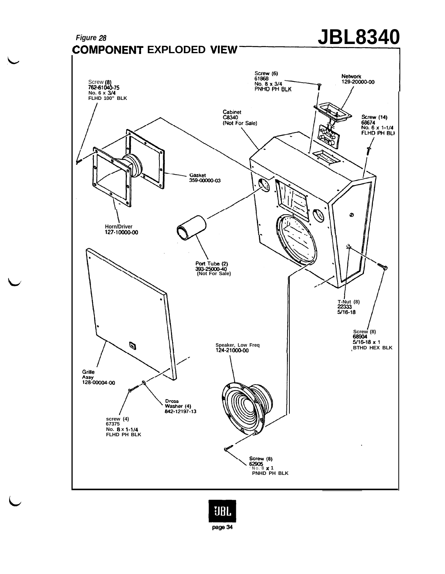

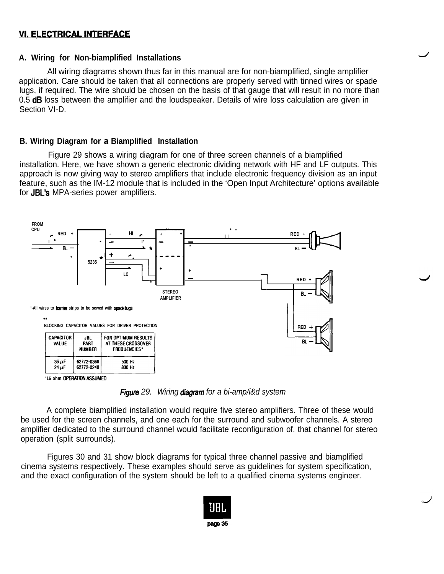# **VI. ELECTRICAL INTERFACE**

#### **A. Wiring for Non-biamplified Installations**

All wiring diagrams shown thus far in this manual are for non-biamplified, single amplifier application. Care should be taken that all connections are properly served with tinned wires or spade lugs, if required. The wire should be chosen on the basis of that gauge that will result in no more than 0.5 **dB** loss between the amplifier and the loudspeaker. Details of wire loss calculation are given in Section VI-D.

#### **B. Wiring Diagram for a Biamplified Installation**

Figure 29 shows a wiring diagram for one of three screen channels of a biamplified installation. Here, we have shown a generic electronic dividing network with HF and LF outputs. This approach is now giving way to stereo amplifiers that include electronic frequency division as an input feature, such as the IM-12 module that is included in the 'Open Input Architecture' options available for JBL's MPA-series power amplifiers.



*Figum 29. Wiring diagmm for a bi-amp/i&d system*

A complete biamplified installation would require five stereo amplifiers. Three of these would be used for the screen channels, and one each for the surround and subwoofer channels. A stereo amplifier dedicated to the surround channel would facilitate reconfiguration of. that channel for stereo operation (split surrounds).

Figures 30 and 31 show block diagrams for typical three channel passive and biamplified cinema systems respectively. These examples should serve as guidelines for system specification, and the exact configuration of the system should be left to a qualified cinema systems engineer.

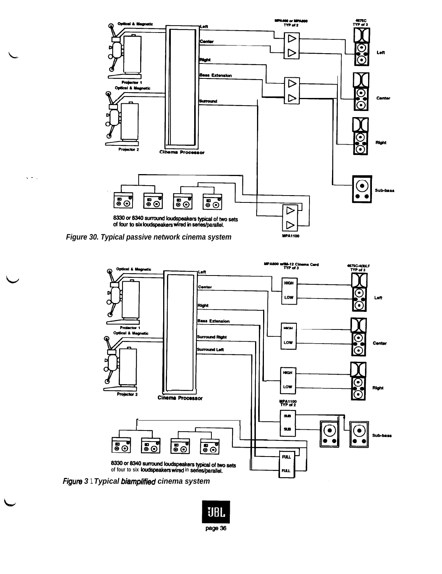

Figure 30. Typical passive network cinema system

 $\zeta \neq 0$ 



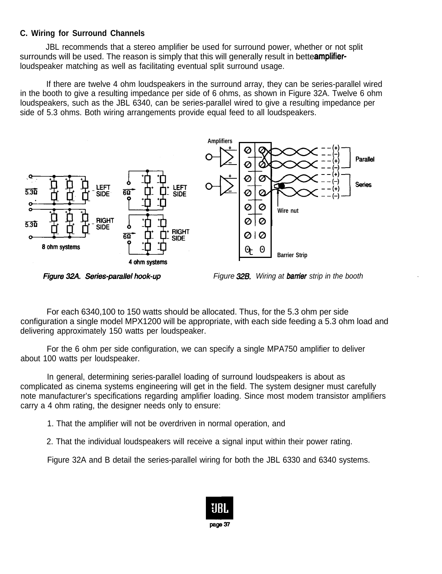# **C. Wiring for Surround Channels**

JBL recommends that a stereo amplifier be used for surround power, whether or not split surrounds will be used. The reason is simply that this will generally result in bette**amplifier**loudspeaker matching as well as facilitating eventual split surround usage.

If there are twelve 4 ohm loudspeakers in the surround array, they can be series-parallel wired in the booth to give a resulting impedance per side of 6 ohms, as shown in Figure 32A. Twelve 6 ohm loudspeakers, such as the JBL 6340, can be series-parallel wired to give a resulting impedance per side of 5.3 ohms. Both wiring arrangements provide equal feed to all loudspeakers.



Figure 32A. Series-parallel hook-up

*Figure 32B. Wiring at barrier strip in the booth* 

For each 6340,100 to 150 watts should be allocated. Thus, for the 5.3 ohm per side configuration a single model MPX1200 will be appropriate, with each side feeding a 5.3 ohm load and delivering approximately 150 watts per loudspeaker.

For the 6 ohm per side configuration, we can specify a single MPA750 amplifier to deliver about 100 watts per loudspeaker.

In general, determining series-parallel loading of surround loudspeakers is about as complicated as cinema systems engineering will get in the field. The system designer must carefully note manufacturer's specifications regarding amplifier loading. Since most modem transistor amplifiers carry a 4 ohm rating, the designer needs only to ensure:

1. That the amplifier will not be overdriven in normal operation, and

2. That the individual loudspeakers will receive a signal input within their power rating.

Figure 32A and B detail the series-parallel wiring for both the JBL 6330 and 6340 systems.

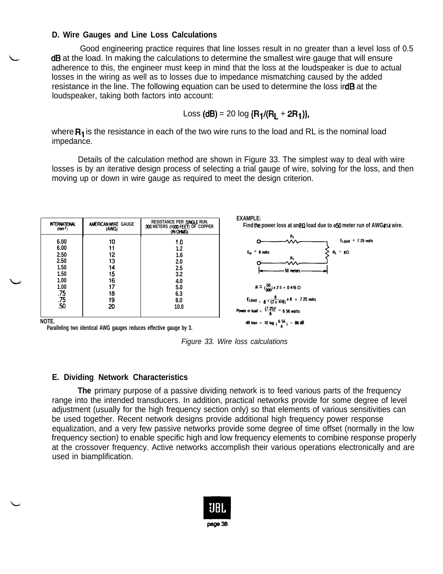#### D. Wire Gauges and Line Loss Calculations

Good engineering practice requires that line losses result in no greater than a level loss of 0.5 dB at the load. In making the calculations to determine the smallest wire gauge that will ensure adherence to this, the engineer must keep in mind that the loss at the loudspeaker is due to actual losses in the wiring as well as to losses due to impedance mismatching caused by the added resistance in the line. The following equation can be used to determine the loss ird**B** at the loudspeaker, taking both factors into account:

Loss 
$$
(dB) = 20 \log {R_1 / (R_L + 2R_1)}
$$

where  $R_1$  is the resistance in each of the two wire runs to the load and RL is the nominal load impedance.

Details of the calculation method are shown in Figure 33. The simplest way to deal with wire losses is by an iterative design process of selecting a trial gauge of wire, solving for the loss, and then moving up or down in wire gauge as required to meet the design criterion.



Paralleling two identical AWG gauges reduces effective gauge by 3.

Figure 33. Wire loss calculations

#### E. Dividing Network Characteristics

The primary purpose of a passive dividing network is to feed various parts of the frequency range into the intended transducers. In addition, practical networks provide for some degree of level adjustment (usually for the high frequency section only) so that elements of various sensitivities can be used together. Recent network designs provide additional high frequency power response equalization, and a very few passive networks provide some degree of time offset (normally in the low frequency section) to enable specific high and low frequency elements to combine response properly at the crossover frequency. Active networks accomplish their various operations electronically and are used in biamplification.

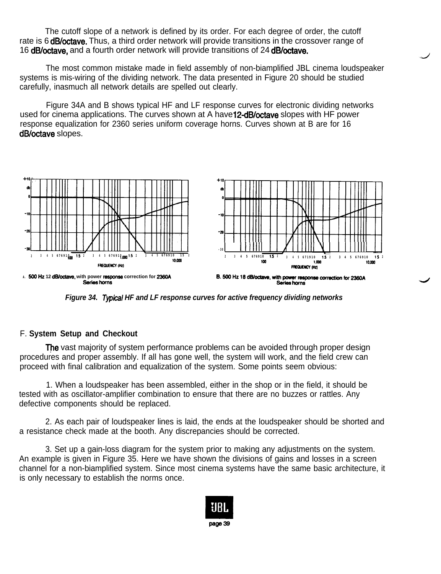The cutoff slope of a network is defined by its order. For each degree of order, the cutoff rate is 6 **dB/octave.** Thus, a third order network will provide transitions in the crossover range of 16 dB/octave, and a fourth order network will provide transitions of 24 dB/octave.

The most common mistake made in field assembly of non-biamplified JBL cinema loudspeaker systems is mis-wiring of the dividing network. The data presented in Figure 20 should be studied carefully, inasmuch all network details are spelled out clearly.

Figure 34A and B shows typical HF and LF response curves for electronic dividing networks used for cinema applications. The curves shown at A have 12-dB/octave slopes with HF power response equalization for 2360 series uniform coverage horns. Curves shown at B are for 16 dB/octave slopes.



*Figure 34. Tvpical HF and LF response curves for active frequency dividing networks*

#### F. **System Setup and Checkout**

**The** vast majority of system performance problems can be avoided through proper design procedures and proper assembly. If all has gone well, the system will work, and the field crew can proceed with final calibration and equalization of the system. Some points seem obvious:

1. When a loudspeaker has been assembled, either in the shop or in the field, it should be tested with as oscillator-amplifier combination to ensure that there are no buzzes or rattles. Any defective components should be replaced.

2. As each pair of loudspeaker lines is laid, the ends at the loudspeaker should be shorted and a resistance check made at the booth. Any discrepancies should be corrected.

3. Set up a gain-loss diagram for the system prior to making any adjustments on the system. An example is given in Figure 35. Here we have shown the divisions of gains and losses in a screen channel for a non-biamplified system. Since most cinema systems have the same basic architecture, it is only necessary to establish the norms once.

![](_page_39_Picture_10.jpeg)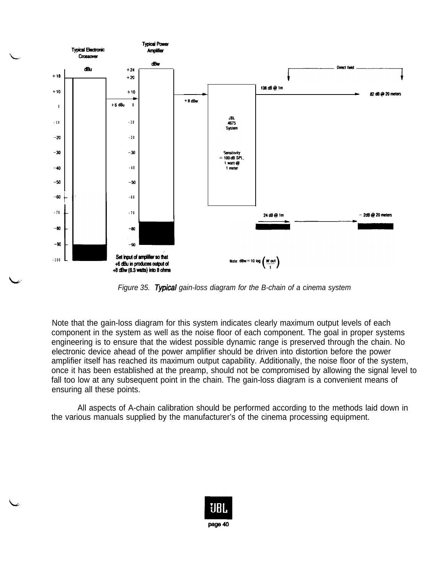![](_page_40_Figure_0.jpeg)

*Figure 35. Tvpical gain-loss diagram for the B-chain of a cinema system*

Note that the gain-loss diagram for this system indicates clearly maximum output levels of each component in the system as well as the noise floor of each component. The goal in proper systems engineering is to ensure that the widest possible dynamic range is preserved through the chain. No electronic device ahead of the power amplifier should be driven into distortion before the power amplifier itself has reached its maximum output capability. Additionally, the noise floor of the system, once it has been established at the preamp, should not be compromised by allowing the signal level to fall too low at any subsequent point in the chain. The gain-loss diagram is a convenient means of ensuring all these points.

All aspects of A-chain calibration should be performed according to the methods laid down in the various manuals supplied by the manufacturer's of the cinema processing equipment.

![](_page_40_Picture_4.jpeg)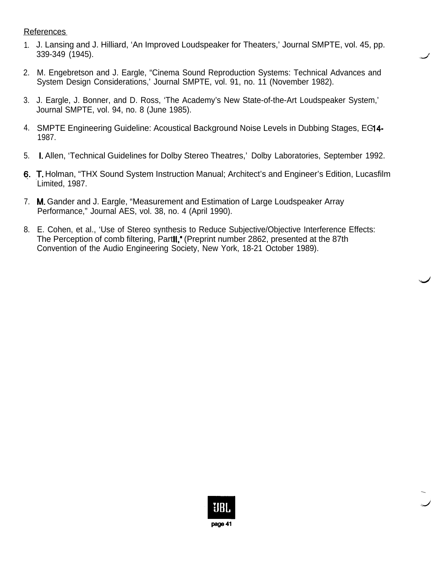**References** 

- 1. J. Lansing and J. Hilliard, 'An Improved Loudspeaker for Theaters,' Journal SMPTE, vol. 45, pp. 339-349 (1945).
- 2. M. Engebretson and J. Eargle, "Cinema Sound Reproduction Systems: Technical Advances and System Design Considerations,' Journal SMPTE, vol. 91, no. 11 (November 1982).
- 3. J. Eargle, J. Bonner, and D. Ross, 'The Academy's New State-of-the-Art Loudspeaker System,' Journal SMPTE, vol. 94, no. 8 (June 1985).
- 4. SMPTE Engineering Guideline: Acoustical Background Noise Levels in Dubbing Stages, EG14-1987.
- 5. I. Allen, 'Technical Guidelines for Dolby Stereo Theatres,'Dolby Laboratories, September 1992.
- 6. T. Holman, "THX Sound System Instruction Manual; Architect's and Engineer's Edition, Lucasfilm Limited, 1987.
- 7. M. Gander and J. Eargle, "Measurement and Estimation of Large Loudspeaker Array Performance," Journal AES, vol. 38, no. 4 (April 1990).
- 8. E. Cohen, et al., 'Use of Stereo synthesis to Reduce Subjective/Objective Interference Effects: The Perception of comb filtering, Partli," (Preprint number 2862, presented at the 87th Convention of the Audio Engineering Society, New York, 18-21 October 1989).

![](_page_41_Picture_9.jpeg)